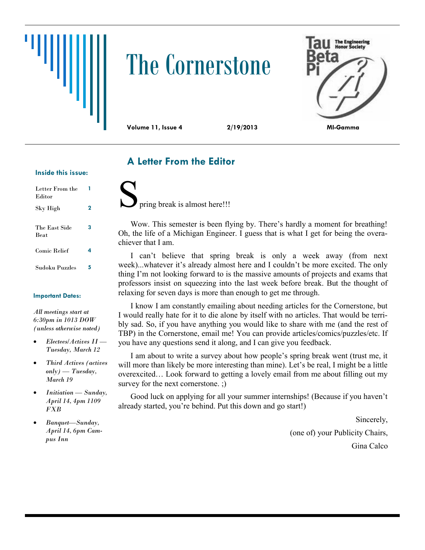# The Cornerstone



## **A Letter From the Editor**

#### **Inside this issue:**

| Letter From the<br>Editor    |   |
|------------------------------|---|
| Sky High                     | 2 |
| The East Side<br><b>Beat</b> | 3 |
| <b>Comic Relief</b>          | 4 |
| Sudoku Puzzles               | 5 |

#### **Important Dates:**

*All meetings start at 6:30pm in 1013 DOW (unless otherwise noted)*

- *Electees/Actives II — Tuesday, March 12*
- *Third Actives (actives only) — Tuesday, March 19*
- *Initiation — Sunday, April 14, 4pm 1109 FXB*
- *Banquet—Sunday, April 14, 6pm Campus Inn*

pring break is almost here!!!

Wow. This semester is been flying by. There's hardly a moment for breathing! Oh, the life of a Michigan Engineer. I guess that is what I get for being the overachiever that I am.

I can't believe that spring break is only a week away (from next week)...whatever it's already almost here and I couldn't be more excited. The only thing I'm not looking forward to is the massive amounts of projects and exams that professors insist on squeezing into the last week before break. But the thought of relaxing for seven days is more than enough to get me through.

I know I am constantly emailing about needing articles for the Cornerstone, but I would really hate for it to die alone by itself with no articles. That would be terribly sad. So, if you have anything you would like to share with me (and the rest of TBP) in the Cornerstone, email me! You can provide articles/comics/puzzles/etc. If you have any questions send it along, and I can give you feedback.

I am about to write a survey about how people's spring break went (trust me, it will more than likely be more interesting than mine). Let's be real, I might be a little overexcited… Look forward to getting a lovely email from me about filling out my survey for the next cornerstone. ;)

Good luck on applying for all your summer internships! (Because if you haven't already started, you're behind. Put this down and go start!)

Sincerely,

(one of) your Publicity Chairs, Gina Calco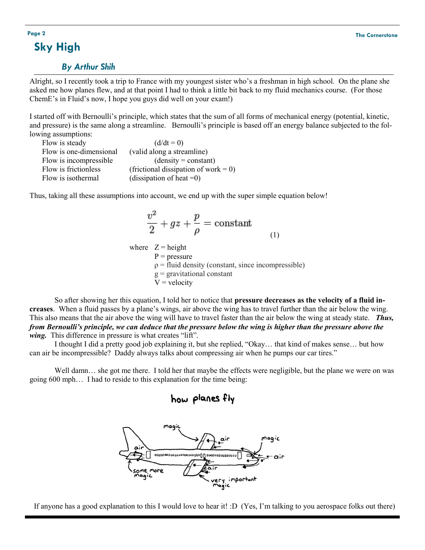## **Sky High**

#### *By Arthur Shih*

Alright, so I recently took a trip to France with my youngest sister who's a freshman in high school. On the plane she asked me how planes flew, and at that point I had to think a little bit back to my fluid mechanics course. (For those ChemE's in Fluid's now, I hope you guys did well on your exam!)

I started off with Bernoulli's principle, which states that the sum of all forms of mechanical energy (potential, kinetic, and pressure) is the same along a streamline. Bernoulli's principle is based off an energy balance subjected to the following assumptions:

| Flow is steady          | $(d/dt = 0)$                         |
|-------------------------|--------------------------------------|
| Flow is one-dimensional | (valid along a streamline)           |
| Flow is incompressible. | $(density = constant)$               |
| Flow is frictionless    | (frictional dissipation of work = 0) |
| Flow is isothermal      | (dissipation of heat $=0$ )          |

Thus, taking all these assumptions into account, we end up with the super simple equation below!

$$
\frac{v^2}{2} + gz + \frac{p}{\rho} = \text{constant}
$$
  
where  $Z = \text{height}$   
 $P = \text{pressure}$  (1)

pressure :  $\rho$  = fluid density (constant, since incompressible)  $g =$  gravitational constant  $V =$  velocity

So after showing her this equation, I told her to notice that **pressure decreases as the velocity of a fluid increases**. When a fluid passes by a plane's wings, air above the wing has to travel further than the air below the wing. This also means that the air above the wing will have to travel faster than the air below the wing at steady state. *Thus, from Bernoulli's principle, we can deduce that the pressure below the wing is higher than the pressure above the wing.* This difference in pressure is what creates "lift".

I thought I did a pretty good job explaining it, but she replied, "Okay… that kind of makes sense… but how can air be incompressible? Daddy always talks about compressing air when he pumps our car tires."

Well damn... she got me there. I told her that maybe the effects were negligible, but the plane we were on was going 600 mph… I had to reside to this explanation for the time being:

### how planes fly



If anyone has a good explanation to this I would love to hear it! :D (Yes, I'm talking to you aerospace folks out there)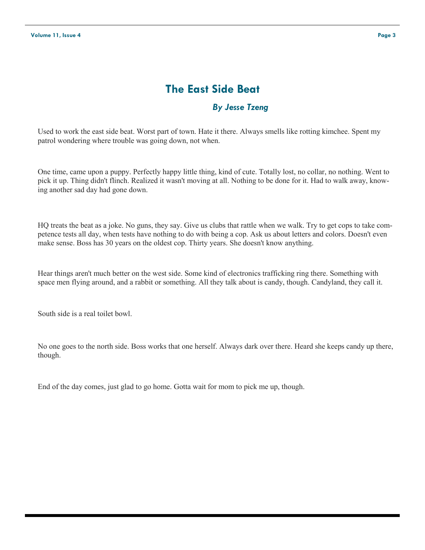## **The East Side Beat**

#### *By Jesse Tzeng*

Used to work the east side beat. Worst part of town. Hate it there. Always smells like rotting kimchee. Spent my patrol wondering where trouble was going down, not when.

One time, came upon a puppy. Perfectly happy little thing, kind of cute. Totally lost, no collar, no nothing. Went to pick it up. Thing didn't flinch. Realized it wasn't moving at all. Nothing to be done for it. Had to walk away, knowing another sad day had gone down.

HQ treats the beat as a joke. No guns, they say. Give us clubs that rattle when we walk. Try to get cops to take competence tests all day, when tests have nothing to do with being a cop. Ask us about letters and colors. Doesn't even make sense. Boss has 30 years on the oldest cop. Thirty years. She doesn't know anything.

Hear things aren't much better on the west side. Some kind of electronics trafficking ring there. Something with space men flying around, and a rabbit or something. All they talk about is candy, though. Candyland, they call it.

South side is a real toilet bowl.

No one goes to the north side. Boss works that one herself. Always dark over there. Heard she keeps candy up there, though.

End of the day comes, just glad to go home. Gotta wait for mom to pick me up, though.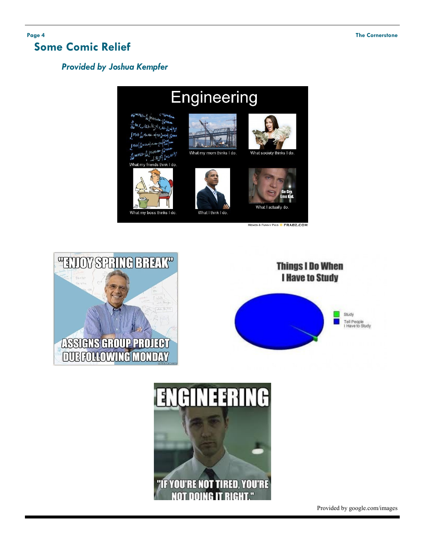## **Some Comic Relief**

## *Provided by Joshua Kempfer*









What I actually

MEMES & FUNNY PICS FRABZ.COM







Provided by google.com/images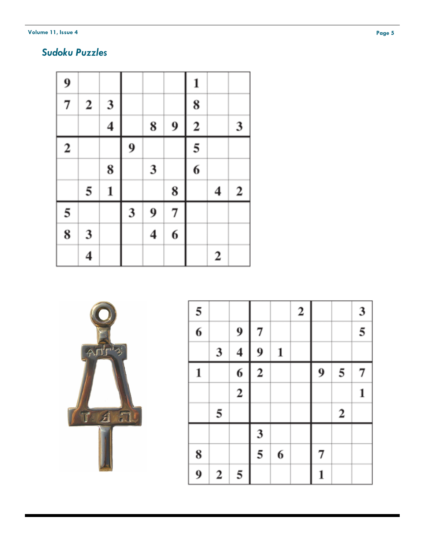#### **Volume 11, Issue 4**

## *Sudoku Puzzles*

| 9                |              |                         |   |                         |   | 1                       |                  |                  |
|------------------|--------------|-------------------------|---|-------------------------|---|-------------------------|------------------|------------------|
| $\overline{7}$   | $\mathbf{2}$ | 3                       |   |                         |   | 8                       |                  |                  |
|                  |              | $\overline{\mathbf{4}}$ |   | 8                       | 9 | $\overline{\mathbf{c}}$ |                  | 3                |
| $\boldsymbol{2}$ |              |                         | 9 |                         |   | 5                       |                  |                  |
|                  |              | 8                       |   | 3                       |   | $\overline{6}$          |                  |                  |
|                  | 5            | 1                       |   |                         | 8 |                         | 4                | $\boldsymbol{2}$ |
| 5                |              |                         | 3 | 9                       | 7 |                         |                  |                  |
| 8                | 3            |                         |   | $\overline{\mathbf{4}}$ | 6 |                         |                  |                  |
|                  | 4            |                         |   |                         |   |                         | $\boldsymbol{2}$ |                  |



| 5 |   |                         |             |   | $\boldsymbol{2}$ |   |                  | 3 |
|---|---|-------------------------|-------------|---|------------------|---|------------------|---|
| 6 |   | 9                       | 7           |   |                  |   |                  | 5 |
|   | 3 | 4                       | 9           | 1 |                  |   |                  |   |
| 1 |   | 6                       | $\mathbf 2$ |   |                  | 9 | 5                | 7 |
|   |   | $\overline{\mathbf{c}}$ |             |   |                  |   |                  | 1 |
|   | 5 |                         |             |   |                  |   | $\boldsymbol{2}$ |   |
|   |   |                         | 3           |   |                  |   |                  |   |
| 8 |   |                         | 5           | 6 |                  | 7 |                  |   |
| 9 | 2 | 5                       |             |   |                  | 1 |                  |   |